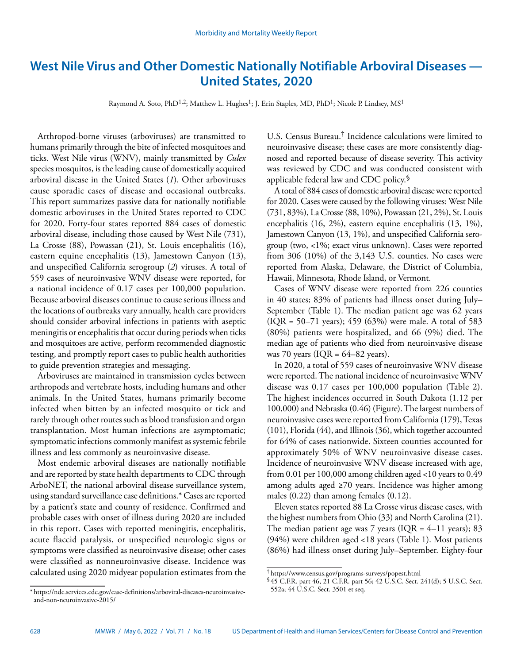# **West Nile Virus and Other Domestic Nationally Notifiable Arboviral Diseases — United States, 2020**

Raymond A. Soto, PhD<sup>1,2</sup>; Matthew L. Hughes<sup>1</sup>; J. Erin Staples, MD, PhD<sup>1</sup>; Nicole P. Lindsey, MS<sup>1</sup>

Arthropod-borne viruses (arboviruses) are transmitted to humans primarily through the bite of infected mosquitoes and ticks. West Nile virus (WNV), mainly transmitted by *Culex* species mosquitos, is the leading cause of domestically acquired arboviral disease in the United States (*1*). Other arboviruses cause sporadic cases of disease and occasional outbreaks. This report summarizes passive data for nationally notifiable domestic arboviruses in the United States reported to CDC for 2020. Forty-four states reported 884 cases of domestic arboviral disease, including those caused by West Nile (731), La Crosse (88), Powassan (21), St. Louis encephalitis (16), eastern equine encephalitis (13), Jamestown Canyon (13), and unspecified California serogroup (*2*) viruses. A total of 559 cases of neuroinvasive WNV disease were reported, for a national incidence of 0.17 cases per 100,000 population. Because arboviral diseases continue to cause serious illness and the locations of outbreaks vary annually, health care providers should consider arboviral infections in patients with aseptic meningitis or encephalitis that occur during periods when ticks and mosquitoes are active, perform recommended diagnostic testing, and promptly report cases to public health authorities to guide prevention strategies and messaging.

Arboviruses are maintained in transmission cycles between arthropods and vertebrate hosts, including humans and other animals. In the United States, humans primarily become infected when bitten by an infected mosquito or tick and rarely through other routes such as blood transfusion and organ transplantation. Most human infections are asymptomatic; symptomatic infections commonly manifest as systemic febrile illness and less commonly as neuroinvasive disease.

Most endemic arboviral diseases are nationally notifiable and are reported by state health departments to CDC through ArboNET, the national arboviral disease surveillance system, using standard surveillance case definitions.\* Cases are reported by a patient's state and county of residence. Confirmed and probable cases with onset of illness during 2020 are included in this report. Cases with reported meningitis, encephalitis, acute flaccid paralysis, or unspecified neurologic signs or symptoms were classified as neuroinvasive disease; other cases were classified as nonneuroinvasive disease. Incidence was calculated using 2020 midyear population estimates from the

\* [https://ndc.services.cdc.gov/case-definitions/arboviral-diseases-neuroinvasive](https://ndc.services.cdc.gov/case-definitions/arboviral-diseases-neuroinvasive-and-non-neuroinvasive-2015/)[and-non-neuroinvasive-2015/](https://ndc.services.cdc.gov/case-definitions/arboviral-diseases-neuroinvasive-and-non-neuroinvasive-2015/)

U.S. Census Bureau.† Incidence calculations were limited to neuroinvasive disease; these cases are more consistently diagnosed and reported because of disease severity. This activity was reviewed by CDC and was conducted consistent with applicable federal law and CDC policy.§

A total of 884 cases of domestic arboviral disease were reported for 2020. Cases were caused by the following viruses: West Nile (731, 83%), La Crosse (88, 10%), Powassan (21, 2%), St. Louis encephalitis (16, 2%), eastern equine encephalitis (13, 1%), Jamestown Canyon (13, 1%), and unspecified California serogroup (two, <1%; exact virus unknown). Cases were reported from 306 (10%) of the 3,143 U.S. counties. No cases were reported from Alaska, Delaware, the District of Columbia, Hawaii, Minnesota, Rhode Island, or Vermont.

Cases of WNV disease were reported from 226 counties in 40 states; 83% of patients had illness onset during July– September (Table 1). The median patient age was 62 years (IQR = 50–71 years); 459 (63%) were male. A total of 583 (80%) patients were hospitalized, and 66 (9%) died. The median age of patients who died from neuroinvasive disease was 70 years ( $IQR = 64-82$  years).

In 2020, a total of 559 cases of neuroinvasive WNV disease were reported. The national incidence of neuroinvasive WNV disease was 0.17 cases per 100,000 population (Table 2). The highest incidences occurred in South Dakota (1.12 per 100,000) and Nebraska (0.46) (Figure). The largest numbers of neuroinvasive cases were reported from California (179), Texas (101), Florida (44), and Illinois (36), which together accounted for 64% of cases nationwide. Sixteen counties accounted for approximately 50% of WNV neuroinvasive disease cases. Incidence of neuroinvasive WNV disease increased with age, from 0.01 per 100,000 among children aged <10 years to 0.49 among adults aged ≥70 years. Incidence was higher among males (0.22) than among females (0.12).

Eleven states reported 88 La Crosse virus disease cases, with the highest numbers from Ohio (33) and North Carolina (21). The median patient age was 7 years (IQR =  $4-11$  years); 83 (94%) were children aged <18 years (Table 1). Most patients (86%) had illness onset during July–September. Eighty-four

<sup>†</sup> <https://www.census.gov/programs-surveys/popest.html>

<sup>§</sup> 45 C.F.R. part 46, 21 C.F.R. part 56; 42 U.S.C. Sect. 241(d); 5 U.S.C. Sect. 552a; 44 U.S.C. Sect. 3501 et seq.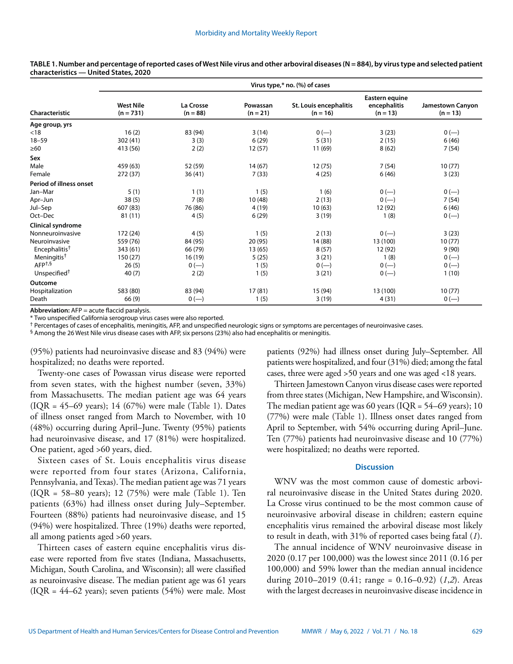|                           | Virus type,* no. (%) of cases   |                         |                        |                                      |                                              |                                |  |  |  |
|---------------------------|---------------------------------|-------------------------|------------------------|--------------------------------------|----------------------------------------------|--------------------------------|--|--|--|
| Characteristic            | <b>West Nile</b><br>$(n = 731)$ | La Crosse<br>$(n = 88)$ | Powassan<br>$(n = 21)$ | St. Louis encephalitis<br>$(n = 16)$ | Eastern equine<br>encephalitis<br>$(n = 13)$ | Jamestown Canyon<br>$(n = 13)$ |  |  |  |
| Age group, yrs            |                                 |                         |                        |                                      |                                              |                                |  |  |  |
| < 18                      | 16(2)                           | 83 (94)                 | 3(14)                  | $0 (-)$                              | 3(23)                                        | $0 (-)$                        |  |  |  |
| $18 - 59$                 | 302(41)                         | 3(3)                    | 6(29)                  | 5(31)                                | 2(15)                                        | 6(46)                          |  |  |  |
| $\geq 60$                 | 413 (56)                        | 2(2)                    | 12(57)                 | 11 (69)                              | 8(62)                                        | 7(54)                          |  |  |  |
| Sex                       |                                 |                         |                        |                                      |                                              |                                |  |  |  |
| Male                      | 459 (63)                        | 52 (59)                 | 14(67)                 | 12(75)                               | 7(54)                                        | 10(77)                         |  |  |  |
| Female                    | 272 (37)                        | 36(41)                  | 7(33)                  | 4(25)                                | 6(46)                                        | 3(23)                          |  |  |  |
| Period of illness onset   |                                 |                         |                        |                                      |                                              |                                |  |  |  |
| Jan-Mar                   | 5(1)                            | 1(1)                    | 1(5)                   | 1(6)                                 | $0 (-)$                                      | $0 (-)$                        |  |  |  |
| Apr-Jun                   | 38(5)                           | 7(8)                    | 10(48)                 | 2(13)                                | $0 (-)$                                      | 7(54)                          |  |  |  |
| Jul-Sep                   | 607 (83)                        | 76 (86)                 | 4(19)                  | 10(63)                               | 12 (92)                                      | 6(46)                          |  |  |  |
| Oct-Dec                   | 81(11)                          | 4(5)                    | 6(29)                  | 3(19)                                | 1(8)                                         | $0 (-)$                        |  |  |  |
| Clinical syndrome         |                                 |                         |                        |                                      |                                              |                                |  |  |  |
| Nonneuroinvasive          | 172 (24)                        | 4(5)                    | 1(5)                   | 2(13)                                | $0 (-)$                                      | 3(23)                          |  |  |  |
| Neuroinvasive             | 559 (76)                        | 84 (95)                 | 20(95)                 | 14 (88)                              | 13 (100)                                     | 10(77)                         |  |  |  |
| Encephalitis <sup>†</sup> | 343 (61)                        | 66 (79)                 | 13(65)                 | 8(57)                                | 12 (92)                                      | 9(90)                          |  |  |  |
| Meningitis <sup>†</sup>   | 150 (27)                        | 16(19)                  | 5(25)                  | 3(21)                                | 1(8)                                         | $0 (-)$                        |  |  |  |
| AFP <sup>+,§</sup>        | 26(5)                           | $0 (-)$                 | 1(5)                   | $0 (-)$                              | $0 (-)$                                      | $0 (-)$                        |  |  |  |
| Unspecified <sup>†</sup>  | 40(7)                           | 2(2)                    | 1(5)                   | 3(21)                                | $0 (-)$                                      | 1(10)                          |  |  |  |
| Outcome                   |                                 |                         |                        |                                      |                                              |                                |  |  |  |
| Hospitalization           | 583 (80)                        | 83 (94)                 | 17(81)                 | 15 (94)                              | 13 (100)                                     | 10(77)                         |  |  |  |
| Death                     | 66 (9)                          | $0 (-)$                 | 1(5)                   | 3(19)                                | 4(31)                                        | $0 (-)$                        |  |  |  |

TABLE 1. Number and percentage of reported cases of West Nile virus and other arboviral diseases (N = 884), by virus type and selected patient **characteristics — United States, 2020**

**Abbreviation:** AFP = acute flaccid paralysis.

\* Two unspecified California serogroup virus cases were also reported.

† Percentages of cases of encephalitis, meningitis, AFP, and unspecified neurologic signs or symptoms are percentages of neuroinvasive cases.

§ Among the 26 West Nile virus disease cases with AFP, six persons (23%) also had encephalitis or meningitis.

(95%) patients had neuroinvasive disease and 83 (94%) were hospitalized; no deaths were reported.

Twenty-one cases of Powassan virus disease were reported from seven states, with the highest number (seven, 33%) from Massachusetts. The median patient age was 64 years (IQR = 45–69 years); 14 (67%) were male (Table 1). Dates of illness onset ranged from March to November, with 10 (48%) occurring during April–June. Twenty (95%) patients had neuroinvasive disease, and 17 (81%) were hospitalized. One patient, aged >60 years, died.

Sixteen cases of St. Louis encephalitis virus disease were reported from four states (Arizona, California, Pennsylvania, and Texas). The median patient age was 71 years (IQR = 58–80 years); 12 (75%) were male (Table 1). Ten patients (63%) had illness onset during July–September. Fourteen (88%) patients had neuroinvasive disease, and 15 (94%) were hospitalized. Three (19%) deaths were reported, all among patients aged >60 years.

Thirteen cases of eastern equine encephalitis virus disease were reported from five states (Indiana, Massachusetts, Michigan, South Carolina, and Wisconsin); all were classified as neuroinvasive disease. The median patient age was 61 years (IQR = 44–62 years); seven patients (54%) were male. Most patients (92%) had illness onset during July–September. All patients were hospitalized, and four (31%) died; among the fatal cases, three were aged >50 years and one was aged <18 years.

Thirteen Jamestown Canyon virus disease cases were reported from three states (Michigan, New Hampshire, and Wisconsin). The median patient age was 60 years ( $IQR = 54-69$  years); 10 (77%) were male (Table 1). Illness onset dates ranged from April to September, with 54% occurring during April–June. Ten (77%) patients had neuroinvasive disease and 10 (77%) were hospitalized; no deaths were reported.

# **Discussion**

WNV was the most common cause of domestic arboviral neuroinvasive disease in the United States during 2020. La Crosse virus continued to be the most common cause of neuroinvasive arboviral disease in children; eastern equine encephalitis virus remained the arboviral disease most likely to result in death, with 31% of reported cases being fatal (*1*).

The annual incidence of WNV neuroinvasive disease in 2020 (0.17 per 100,000) was the lowest since 2011 (0.16 per 100,000) and 59% lower than the median annual incidence during 2010–2019 (0.41; range = 0.16–0.92) (*1*,*2*). Areas with the largest decreases in neuroinvasive disease incidence in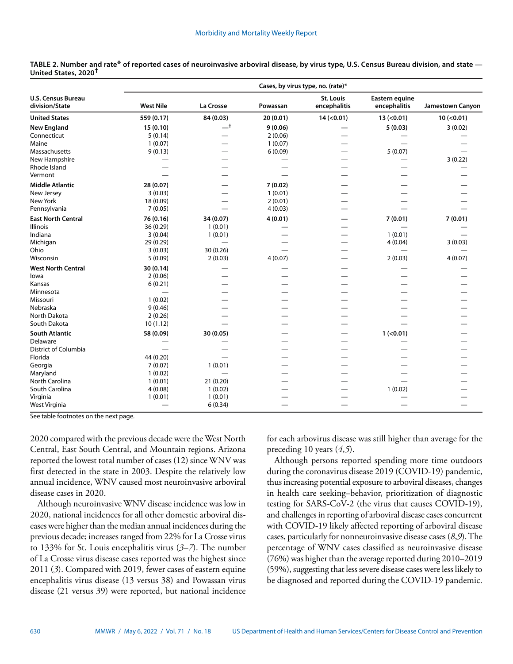| <b>U.S. Census Bureau</b><br><b>St. Louis</b><br><b>Eastern equine</b><br>division/State<br><b>West Nile</b><br>La Crosse<br>encephalitis<br>Powassan<br>encephalitis<br><b>Jamestown Canyon</b><br>559 (0.17)<br>84 (0.03)<br><b>United States</b><br>20(0.01)<br>14 (0.01)<br>13( <0.01)<br>$10 (-0.01)$<br>$-t$<br><b>New England</b><br>15(0.10)<br>9(0.06)<br>5(0.03)<br>3(0.02)<br>Connecticut<br>5(0.14)<br>2(0.06)<br>Maine<br>1(0.07)<br>1(0.07)<br>Massachusetts<br>9(0.13)<br>6(0.09)<br>5(0.07)<br>New Hampshire<br>3(0.22)<br>Rhode Island<br>$\overline{\phantom{0}}$<br>Vermont<br><b>Middle Atlantic</b><br>28 (0.07)<br>7(0.02)<br>1(0.01)<br>New Jersey<br>3(0.03)<br>New York<br>2(0.01)<br>18 (0.09)<br>Pennsylvania<br>7(0.05)<br>4(0.03)<br><b>East North Central</b><br>76 (0.16)<br>34 (0.07)<br>4(0.01)<br>7(0.01)<br>7(0.01)<br><b>Illinois</b><br>36 (0.29)<br>1(0.01)<br>—<br>Indiana<br>3(0.04)<br>1(0.01)<br>1(0.01)<br>Michigan<br>29 (0.29)<br>4(0.04)<br>3(0.03)<br>—<br>Ohio<br>30 (0.26)<br>3(0.03)<br>Wisconsin<br>5(0.09)<br>2(0.03)<br>4(0.07)<br>2(0.03)<br>4(0.07)<br>—<br><b>West North Central</b><br>30 (0.14)<br>2(0.06)<br>lowa<br>Kansas<br>6(0.21)<br>Minnesota<br>1(0.02)<br>Missouri<br>Nebraska<br>9(0.46)<br><b>North Dakota</b><br>2(0.26)<br>South Dakota<br>10(1.12)<br>—<br><b>South Atlantic</b><br>$1$ (<0.01)<br>58 (0.09)<br>30 (0.05)<br>Delaware<br><b>District of Columbia</b><br>Florida<br>44 (0.20)<br>Georgia<br>7(0.07)<br>1(0.01)<br>Maryland<br>1(0.02)<br>— | Cases, by virus type, no. (rate)* |  |  |  |  |  |  |  |
|-----------------------------------------------------------------------------------------------------------------------------------------------------------------------------------------------------------------------------------------------------------------------------------------------------------------------------------------------------------------------------------------------------------------------------------------------------------------------------------------------------------------------------------------------------------------------------------------------------------------------------------------------------------------------------------------------------------------------------------------------------------------------------------------------------------------------------------------------------------------------------------------------------------------------------------------------------------------------------------------------------------------------------------------------------------------------------------------------------------------------------------------------------------------------------------------------------------------------------------------------------------------------------------------------------------------------------------------------------------------------------------------------------------------------------------------------------------------------------------------------------------------------------------|-----------------------------------|--|--|--|--|--|--|--|
|                                                                                                                                                                                                                                                                                                                                                                                                                                                                                                                                                                                                                                                                                                                                                                                                                                                                                                                                                                                                                                                                                                                                                                                                                                                                                                                                                                                                                                                                                                                                   |                                   |  |  |  |  |  |  |  |
|                                                                                                                                                                                                                                                                                                                                                                                                                                                                                                                                                                                                                                                                                                                                                                                                                                                                                                                                                                                                                                                                                                                                                                                                                                                                                                                                                                                                                                                                                                                                   |                                   |  |  |  |  |  |  |  |
|                                                                                                                                                                                                                                                                                                                                                                                                                                                                                                                                                                                                                                                                                                                                                                                                                                                                                                                                                                                                                                                                                                                                                                                                                                                                                                                                                                                                                                                                                                                                   |                                   |  |  |  |  |  |  |  |
|                                                                                                                                                                                                                                                                                                                                                                                                                                                                                                                                                                                                                                                                                                                                                                                                                                                                                                                                                                                                                                                                                                                                                                                                                                                                                                                                                                                                                                                                                                                                   |                                   |  |  |  |  |  |  |  |
|                                                                                                                                                                                                                                                                                                                                                                                                                                                                                                                                                                                                                                                                                                                                                                                                                                                                                                                                                                                                                                                                                                                                                                                                                                                                                                                                                                                                                                                                                                                                   |                                   |  |  |  |  |  |  |  |
|                                                                                                                                                                                                                                                                                                                                                                                                                                                                                                                                                                                                                                                                                                                                                                                                                                                                                                                                                                                                                                                                                                                                                                                                                                                                                                                                                                                                                                                                                                                                   |                                   |  |  |  |  |  |  |  |
|                                                                                                                                                                                                                                                                                                                                                                                                                                                                                                                                                                                                                                                                                                                                                                                                                                                                                                                                                                                                                                                                                                                                                                                                                                                                                                                                                                                                                                                                                                                                   |                                   |  |  |  |  |  |  |  |
|                                                                                                                                                                                                                                                                                                                                                                                                                                                                                                                                                                                                                                                                                                                                                                                                                                                                                                                                                                                                                                                                                                                                                                                                                                                                                                                                                                                                                                                                                                                                   |                                   |  |  |  |  |  |  |  |
|                                                                                                                                                                                                                                                                                                                                                                                                                                                                                                                                                                                                                                                                                                                                                                                                                                                                                                                                                                                                                                                                                                                                                                                                                                                                                                                                                                                                                                                                                                                                   |                                   |  |  |  |  |  |  |  |
|                                                                                                                                                                                                                                                                                                                                                                                                                                                                                                                                                                                                                                                                                                                                                                                                                                                                                                                                                                                                                                                                                                                                                                                                                                                                                                                                                                                                                                                                                                                                   |                                   |  |  |  |  |  |  |  |
|                                                                                                                                                                                                                                                                                                                                                                                                                                                                                                                                                                                                                                                                                                                                                                                                                                                                                                                                                                                                                                                                                                                                                                                                                                                                                                                                                                                                                                                                                                                                   |                                   |  |  |  |  |  |  |  |
|                                                                                                                                                                                                                                                                                                                                                                                                                                                                                                                                                                                                                                                                                                                                                                                                                                                                                                                                                                                                                                                                                                                                                                                                                                                                                                                                                                                                                                                                                                                                   |                                   |  |  |  |  |  |  |  |
|                                                                                                                                                                                                                                                                                                                                                                                                                                                                                                                                                                                                                                                                                                                                                                                                                                                                                                                                                                                                                                                                                                                                                                                                                                                                                                                                                                                                                                                                                                                                   |                                   |  |  |  |  |  |  |  |
|                                                                                                                                                                                                                                                                                                                                                                                                                                                                                                                                                                                                                                                                                                                                                                                                                                                                                                                                                                                                                                                                                                                                                                                                                                                                                                                                                                                                                                                                                                                                   |                                   |  |  |  |  |  |  |  |
|                                                                                                                                                                                                                                                                                                                                                                                                                                                                                                                                                                                                                                                                                                                                                                                                                                                                                                                                                                                                                                                                                                                                                                                                                                                                                                                                                                                                                                                                                                                                   |                                   |  |  |  |  |  |  |  |
|                                                                                                                                                                                                                                                                                                                                                                                                                                                                                                                                                                                                                                                                                                                                                                                                                                                                                                                                                                                                                                                                                                                                                                                                                                                                                                                                                                                                                                                                                                                                   |                                   |  |  |  |  |  |  |  |
|                                                                                                                                                                                                                                                                                                                                                                                                                                                                                                                                                                                                                                                                                                                                                                                                                                                                                                                                                                                                                                                                                                                                                                                                                                                                                                                                                                                                                                                                                                                                   |                                   |  |  |  |  |  |  |  |
|                                                                                                                                                                                                                                                                                                                                                                                                                                                                                                                                                                                                                                                                                                                                                                                                                                                                                                                                                                                                                                                                                                                                                                                                                                                                                                                                                                                                                                                                                                                                   |                                   |  |  |  |  |  |  |  |
|                                                                                                                                                                                                                                                                                                                                                                                                                                                                                                                                                                                                                                                                                                                                                                                                                                                                                                                                                                                                                                                                                                                                                                                                                                                                                                                                                                                                                                                                                                                                   |                                   |  |  |  |  |  |  |  |
|                                                                                                                                                                                                                                                                                                                                                                                                                                                                                                                                                                                                                                                                                                                                                                                                                                                                                                                                                                                                                                                                                                                                                                                                                                                                                                                                                                                                                                                                                                                                   |                                   |  |  |  |  |  |  |  |
|                                                                                                                                                                                                                                                                                                                                                                                                                                                                                                                                                                                                                                                                                                                                                                                                                                                                                                                                                                                                                                                                                                                                                                                                                                                                                                                                                                                                                                                                                                                                   |                                   |  |  |  |  |  |  |  |
|                                                                                                                                                                                                                                                                                                                                                                                                                                                                                                                                                                                                                                                                                                                                                                                                                                                                                                                                                                                                                                                                                                                                                                                                                                                                                                                                                                                                                                                                                                                                   |                                   |  |  |  |  |  |  |  |
|                                                                                                                                                                                                                                                                                                                                                                                                                                                                                                                                                                                                                                                                                                                                                                                                                                                                                                                                                                                                                                                                                                                                                                                                                                                                                                                                                                                                                                                                                                                                   |                                   |  |  |  |  |  |  |  |
|                                                                                                                                                                                                                                                                                                                                                                                                                                                                                                                                                                                                                                                                                                                                                                                                                                                                                                                                                                                                                                                                                                                                                                                                                                                                                                                                                                                                                                                                                                                                   |                                   |  |  |  |  |  |  |  |
|                                                                                                                                                                                                                                                                                                                                                                                                                                                                                                                                                                                                                                                                                                                                                                                                                                                                                                                                                                                                                                                                                                                                                                                                                                                                                                                                                                                                                                                                                                                                   |                                   |  |  |  |  |  |  |  |
|                                                                                                                                                                                                                                                                                                                                                                                                                                                                                                                                                                                                                                                                                                                                                                                                                                                                                                                                                                                                                                                                                                                                                                                                                                                                                                                                                                                                                                                                                                                                   |                                   |  |  |  |  |  |  |  |
|                                                                                                                                                                                                                                                                                                                                                                                                                                                                                                                                                                                                                                                                                                                                                                                                                                                                                                                                                                                                                                                                                                                                                                                                                                                                                                                                                                                                                                                                                                                                   |                                   |  |  |  |  |  |  |  |
|                                                                                                                                                                                                                                                                                                                                                                                                                                                                                                                                                                                                                                                                                                                                                                                                                                                                                                                                                                                                                                                                                                                                                                                                                                                                                                                                                                                                                                                                                                                                   |                                   |  |  |  |  |  |  |  |
|                                                                                                                                                                                                                                                                                                                                                                                                                                                                                                                                                                                                                                                                                                                                                                                                                                                                                                                                                                                                                                                                                                                                                                                                                                                                                                                                                                                                                                                                                                                                   |                                   |  |  |  |  |  |  |  |
|                                                                                                                                                                                                                                                                                                                                                                                                                                                                                                                                                                                                                                                                                                                                                                                                                                                                                                                                                                                                                                                                                                                                                                                                                                                                                                                                                                                                                                                                                                                                   |                                   |  |  |  |  |  |  |  |
|                                                                                                                                                                                                                                                                                                                                                                                                                                                                                                                                                                                                                                                                                                                                                                                                                                                                                                                                                                                                                                                                                                                                                                                                                                                                                                                                                                                                                                                                                                                                   |                                   |  |  |  |  |  |  |  |
|                                                                                                                                                                                                                                                                                                                                                                                                                                                                                                                                                                                                                                                                                                                                                                                                                                                                                                                                                                                                                                                                                                                                                                                                                                                                                                                                                                                                                                                                                                                                   |                                   |  |  |  |  |  |  |  |
|                                                                                                                                                                                                                                                                                                                                                                                                                                                                                                                                                                                                                                                                                                                                                                                                                                                                                                                                                                                                                                                                                                                                                                                                                                                                                                                                                                                                                                                                                                                                   |                                   |  |  |  |  |  |  |  |
| <b>North Carolina</b><br>1(0.01)<br>21 (0.20)                                                                                                                                                                                                                                                                                                                                                                                                                                                                                                                                                                                                                                                                                                                                                                                                                                                                                                                                                                                                                                                                                                                                                                                                                                                                                                                                                                                                                                                                                     |                                   |  |  |  |  |  |  |  |
| South Carolina<br>1(0.02)<br>4(0.08)<br>1(0.02)                                                                                                                                                                                                                                                                                                                                                                                                                                                                                                                                                                                                                                                                                                                                                                                                                                                                                                                                                                                                                                                                                                                                                                                                                                                                                                                                                                                                                                                                                   |                                   |  |  |  |  |  |  |  |
| Virginia<br>1(0.01)<br>1(0.01)                                                                                                                                                                                                                                                                                                                                                                                                                                                                                                                                                                                                                                                                                                                                                                                                                                                                                                                                                                                                                                                                                                                                                                                                                                                                                                                                                                                                                                                                                                    |                                   |  |  |  |  |  |  |  |
| West Virginia<br>6(0.34)<br>$\hspace{0.05cm}$                                                                                                                                                                                                                                                                                                                                                                                                                                                                                                                                                                                                                                                                                                                                                                                                                                                                                                                                                                                                                                                                                                                                                                                                                                                                                                                                                                                                                                                                                     |                                   |  |  |  |  |  |  |  |

**TABLE 2. Number and rate\* of reported cases of neuroinvasive arboviral disease, by virus type, U.S. Census Bureau division, and state — United States, 2020†**

See table footnotes on the next page.

2020 compared with the previous decade were the West North Central, East South Central, and Mountain regions. Arizona reported the lowest total number of cases (12) since WNV was first detected in the state in 2003. Despite the relatively low annual incidence, WNV caused most neuroinvasive arboviral disease cases in 2020.

Although neuroinvasive WNV disease incidence was low in 2020, national incidences for all other domestic arboviral diseases were higher than the median annual incidences during the previous decade; increases ranged from 22% for La Crosse virus to 133% for St. Louis encephalitis virus (*3*–*7*). The number of La Crosse virus disease cases reported was the highest since 2011 (*3*). Compared with 2019, fewer cases of eastern equine encephalitis virus disease (13 versus 38) and Powassan virus disease (21 versus 39) were reported, but national incidence for each arbovirus disease was still higher than average for the preceding 10 years (*4*,*5*).

Although persons reported spending more time outdoors during the coronavirus disease 2019 (COVID-19) pandemic, thus increasing potential exposure to arboviral diseases, changes in health care seeking–behavior, prioritization of diagnostic testing for SARS-CoV-2 (the virus that causes COVID-19), and challenges in reporting of arboviral disease cases concurrent with COVID-19 likely affected reporting of arboviral disease cases, particularly for nonneuroinvasive disease cases (*8*,*9*). The percentage of WNV cases classified as neuroinvasive disease (76%) was higher than the average reported during 2010–2019 (59%), suggesting that less severe disease cases were less likely to be diagnosed and reported during the COVID-19 pandemic.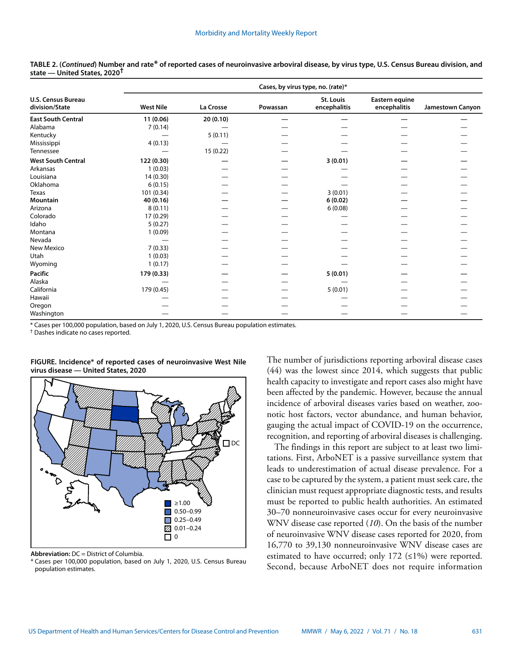|                                             | Cases, by virus type, no. (rate)* |           |          |                           |                                |                  |  |
|---------------------------------------------|-----------------------------------|-----------|----------|---------------------------|--------------------------------|------------------|--|
| <b>U.S. Census Bureau</b><br>division/State | <b>West Nile</b>                  | La Crosse | Powassan | St. Louis<br>encephalitis | Eastern equine<br>encephalitis | Jamestown Canyon |  |
| <b>East South Central</b>                   | 11(0.06)                          | 20(0.10)  |          |                           |                                |                  |  |
| Alabama                                     | 7(0.14)                           |           |          |                           |                                |                  |  |
| Kentucky                                    |                                   | 5(0.11)   |          |                           |                                |                  |  |
| Mississippi                                 | 4(0.13)                           |           |          |                           |                                |                  |  |
| Tennessee                                   |                                   | 15 (0.22) |          |                           |                                |                  |  |
| <b>West South Central</b>                   | 122 (0.30)                        |           |          | 3(0.01)                   |                                |                  |  |
| Arkansas                                    | 1(0.03)                           |           |          |                           |                                |                  |  |
| Louisiana                                   | 14 (0.30)                         |           |          |                           |                                |                  |  |
| Oklahoma                                    | 6(0.15)                           |           |          |                           |                                |                  |  |
| <b>Texas</b>                                | 101 (0.34)                        |           |          | 3(0.01)                   |                                |                  |  |
| <b>Mountain</b>                             | 40 (0.16)                         |           |          | 6(0.02)                   |                                |                  |  |
| Arizona                                     | 8(0.11)                           |           |          | 6(0.08)                   |                                |                  |  |
| Colorado                                    | 17 (0.29)                         |           |          |                           |                                |                  |  |
| Idaho                                       | 5(0.27)                           |           |          |                           |                                |                  |  |
| Montana                                     | 1(0.09)                           |           |          |                           |                                |                  |  |
| Nevada                                      |                                   |           |          |                           |                                |                  |  |
| New Mexico                                  | 7(0.33)                           |           |          |                           |                                |                  |  |
| Utah                                        | 1(0.03)                           |           |          |                           |                                |                  |  |
| Wyoming                                     | 1(0.17)                           |           |          |                           |                                |                  |  |
| Pacific                                     | 179 (0.33)                        |           |          | 5(0.01)                   |                                |                  |  |
| Alaska                                      |                                   |           |          |                           |                                |                  |  |
| California                                  | 179 (0.45)                        |           |          | 5(0.01)                   |                                |                  |  |
| Hawaii                                      |                                   |           |          |                           |                                |                  |  |
| Oregon                                      |                                   |           |          |                           |                                |                  |  |
| Washington                                  |                                   |           |          |                           |                                |                  |  |

**TABLE 2. (***Continued***) Number and rate\* of reported cases of neuroinvasive arboviral disease, by virus type, U.S. Census Bureau division, and state — United States, 2020†**

\* Cases per 100,000 population, based on July 1, 2020, U.S. Census Bureau population estimates.

† Dashes indicate no cases reported.



#### **FIGURE. Incidence\* of reported cases of neuroinvasive West Nile virus disease — United States, 2020**

**Abbreviation:** DC = District of Columbia.

\* Cases per 100,000 population, based on July 1, 2020, U.S. Census Bureau population estimates.

The number of jurisdictions reporting arboviral disease cases (44) was the lowest since 2014, which suggests that public health capacity to investigate and report cases also might have been affected by the pandemic. However, because the annual incidence of arboviral diseases varies based on weather, zoonotic host factors, vector abundance, and human behavior, gauging the actual impact of COVID-19 on the occurrence, recognition, and reporting of arboviral diseases is challenging.

The findings in this report are subject to at least two limitations. First, ArboNET is a passive surveillance system that leads to underestimation of actual disease prevalence. For a case to be captured by the system, a patient must seek care, the clinician must request appropriate diagnostic tests, and results must be reported to public health authorities. An estimated 30–70 nonneuroinvasive cases occur for every neuroinvasive WNV disease case reported (*10*). On the basis of the number of neuroinvasive WNV disease cases reported for 2020, from 16,770 to 39,130 nonneuroinvasive WNV disease cases are estimated to have occurred; only 172  $(\leq 1\%)$  were reported. Second, because ArboNET does not require information